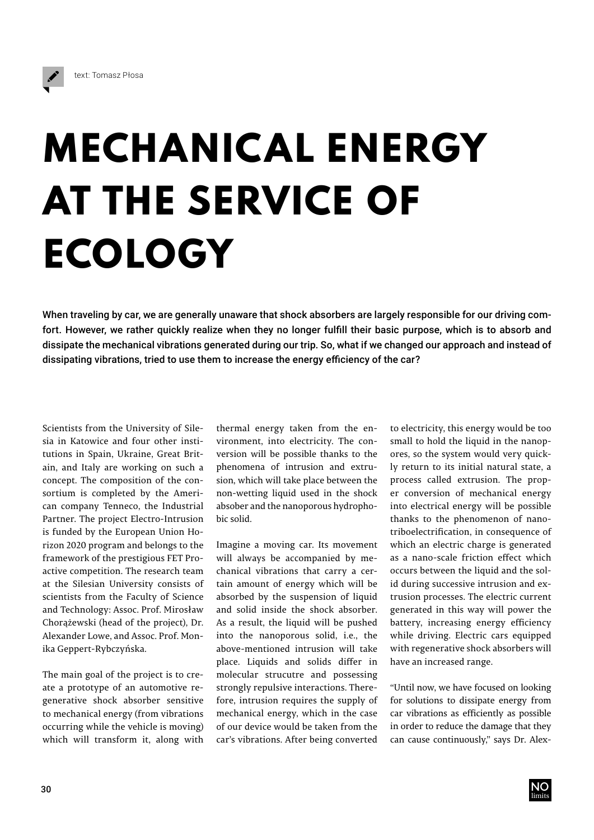

## **MECHANICAL ENERGY AT THE SERVICE OF ECOLOGY**

When traveling by car, we are generally unaware that shock absorbers are largely responsible for our driving comfort. However, we rather quickly realize when they no longer fulfill their basic purpose, which is to absorb and dissipate the mechanical vibrations generated during our trip. So, what if we changed our approach and instead of dissipating vibrations, tried to use them to increase the energy efficiency of the car?

Scientists from the University of Silesia in Katowice and four other institutions in Spain, Ukraine, Great Britain, and Italy are working on such a concept. The composition of the consortium is completed by the American company Tenneco, the Industrial Partner. The project Electro-Intrusion is funded by the European Union Horizon 2020 program and belongs to the framework of the prestigious FET Proactive competition. The research team at the Silesian University consists of scientists from the Faculty of Science and Technology: Assoc. Prof. Mirosław Chorążewski (head of the project), Dr. Alexander Lowe, and Assoc. Prof. Monika Geppert-Rybczyńska.

The main goal of the project is to create a prototype of an automotive regenerative shock absorber sensitive to mechanical energy (from vibrations occurring while the vehicle is moving) which will transform it, along with thermal energy taken from the environment, into electricity. The conversion will be possible thanks to the phenomena of intrusion and extrusion, which will take place between the non-wetting liquid used in the shock absober and the nanoporous hydrophobic solid.

Imagine a moving car. Its movement will always be accompanied by mechanical vibrations that carry a certain amount of energy which will be absorbed by the suspension of liquid and solid inside the shock absorber. As a result, the liquid will be pushed into the nanoporous solid, i.e., the above-mentioned intrusion will take place. Liquids and solids differ in molecular strucutre and possessing strongly repulsive interactions. Therefore, intrusion requires the supply of mechanical energy, which in the case of our device would be taken from the car's vibrations. After being converted

to electricity, this energy would be too small to hold the liquid in the nanopores, so the system would very quickly return to its initial natural state, a process called extrusion. The proper conversion of mechanical energy into electrical energy will be possible thanks to the phenomenon of nanotriboelectrification, in consequence of which an electric charge is generated as a nano-scale friction effect which occurs between the liquid and the solid during successive intrusion and extrusion processes. The electric current generated in this way will power the battery, increasing energy efficiency while driving. Electric cars equipped with regenerative shock absorbers will have an increased range.

"Until now, we have focused on looking for solutions to dissipate energy from car vibrations as efficiently as possible in order to reduce the damage that they can cause continuously," says Dr. Alex-